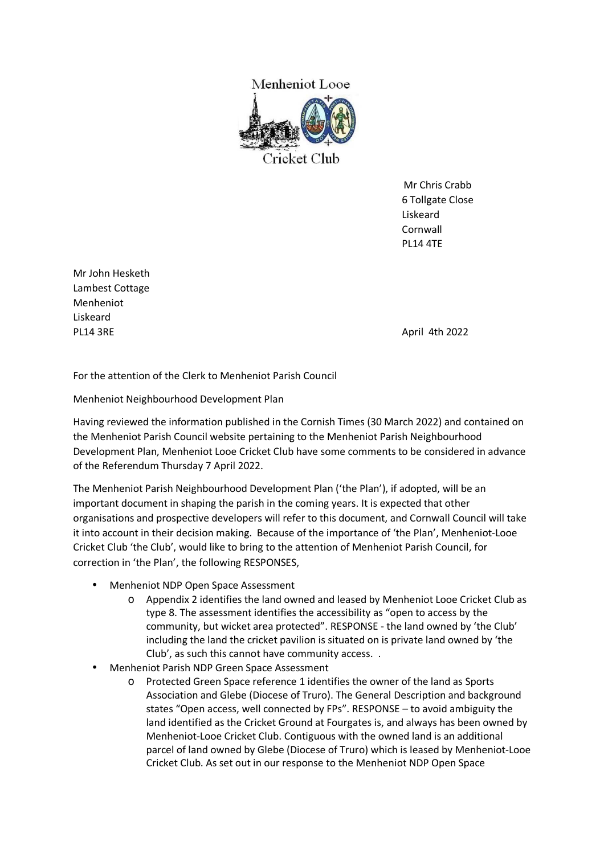

 Mr Chris Crabb 6 Tollgate Close Liskeard Cornwall PL14 4TE

Mr John Hesketh Lambest Cottage Menheniot Liskeard PL14 3RE April 4th 2022

For the attention of the Clerk to Menheniot Parish Council

Menheniot Neighbourhood Development Plan

Having reviewed the information published in the Cornish Times (30 March 2022) and contained on the Menheniot Parish Council website pertaining to the Menheniot Parish Neighbourhood Development Plan, Menheniot Looe Cricket Club have some comments to be considered in advance of the Referendum Thursday 7 April 2022.

The Menheniot Parish Neighbourhood Development Plan ('the Plan'), if adopted, will be an important document in shaping the parish in the coming years. It is expected that other organisations and prospective developers will refer to this document, and Cornwall Council will take it into account in their decision making. Because of the importance of 'the Plan', Menheniot-Looe Cricket Club 'the Club', would like to bring to the attention of Menheniot Parish Council, for correction in 'the Plan', the following RESPONSES,

- Menheniot NDP Open Space Assessment
	- o Appendix 2 identifies the land owned and leased by Menheniot Looe Cricket Club as type 8. The assessment identifies the accessibility as "open to access by the community, but wicket area protected". RESPONSE - the land owned by 'the Club' including the land the cricket pavilion is situated on is private land owned by 'the Club', as such this cannot have community access. .
- Menheniot Parish NDP Green Space Assessment
	- o Protected Green Space reference 1 identifies the owner of the land as Sports Association and Glebe (Diocese of Truro). The General Description and background states "Open access, well connected by FPs". RESPONSE – to avoid ambiguity the land identified as the Cricket Ground at Fourgates is, and always has been owned by Menheniot-Looe Cricket Club. Contiguous with the owned land is an additional parcel of land owned by Glebe (Diocese of Truro) which is leased by Menheniot-Looe Cricket Club. As set out in our response to the Menheniot NDP Open Space